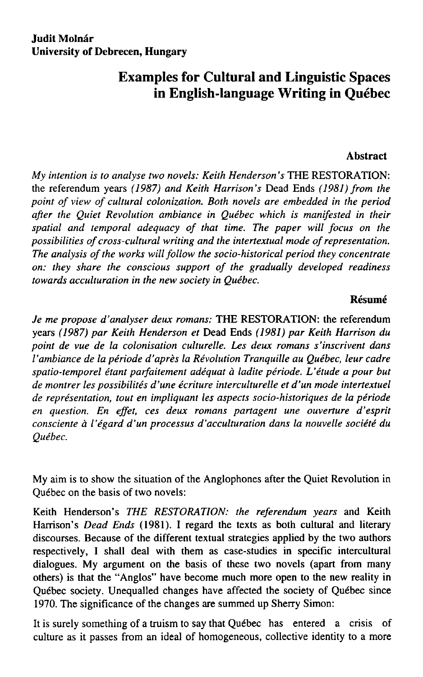## **Examples for Cultural and Linguistic Spaces in English-language Writing in Québec**

## **Abstract**

*My intention is to analyse two novels: Keith Henderson's* THE RESTORATION: the referendum years *(1987) and Keith Harrison's* Dead Ends *(1981) from the point of view of cultural colonization. Both novels are embedded in the period after the Quiet Revolution ambiance in Québec which is manifested in their*  spatial and temporal adequacy of that time. The paper will focus on the *possibilities of cross-cultural writing and the intertextual mode of representation.*  The analysis of the works will follow the socio-historical period they concentrate *on: they share the conscious support of the gradually developed readiness towards acculturation in the new society in Québec.* 

## **Résumé**

*Je me propose ďanalyser deux romans:* THE RESTORATION: the referendum years *(1987) par Keith Henderson et* Dead Ends *(1981) par Keith Harrison du point de vue de la colonisation culturelle. Les deux romans s'inscrivent dans V ambiance de la periodě ďaprěs la Revolution Tranquille au Québec, leur cadre*  spatio-temporel étant parfaitement adéquat à ladite période. L'étude a pour but *de montrer les possibilités ďune écriture interculturelle et ďun mode intertextuel de representation, tout en impliquant les aspects socio-historiques de la periodě*  en question. En effet, ces deux romans partagent une ouverture d'esprit *consciente á 1'égard ďun processus ďacculturation dans la nouvelle société du Québec.* 

My aim is to show the situation of the Anglophones after the Quiet Revolution in Québec on the basis of two novels:

Keith Henderson's *THE RESTORATION: the referendum years* and Keith Harrison's *Dead Ends* (1981). I regard the texts as both cultural and literary discourses. Because of the different textual strategies applied by the two authors respectively, I shall deal with ťhem as case-studies in specific intercultural dialogues. My argument on the basis of these two novels (apart from many others) is that the "Anglos" have become much more open to the new reality in Québec society. Unequalled changes have affected the society of Québec since 1970. The significance of the changes are summed up Sherry Simon:

It is surely something of a truism to say that Québec has entered a crisis of culture as it passes from an ideál of homogeneous, collective identity to a more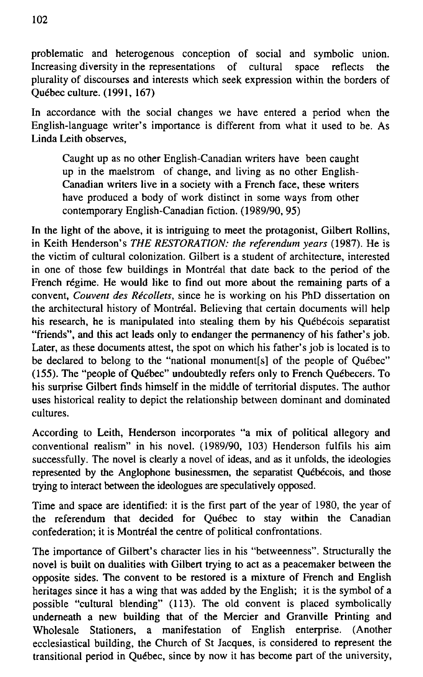problematic and heterogenous conception of sociál and symbolic union. Increasing diversity in the representations of cultural space reflects the plurality of discourses and interests which seek expression within the borders of Québec culture. (1991, 167)

In accordance with the social changes we have entered a period when the English-language writer's importance is different from what it used to be. As Linda Leith observes,

Caught up as no other English-Canadian writers have been caught up in the maelstrom of change, and living as no other English-Canadian writers live in a society with a French face, these writers have produced a body of work distinct in some ways from other contemporary English-Canadian fiction. (1989/90, 95)

In the light of the above, it is intriguing to meet the protagonist, Gilbert Rollins, in Keith Henderson's THE RESTORATION: the referendum years (1987). He is the victim of cultural colonization. Gilbert is a student of architecture, interested in one of those few buildings in Montreal that date back to the period of the French régime. He would like to find out more about the remaining parts of a convent, *Couvent des Récollets,* since he is working on his PhD dissertation on the architectural history of Montréal. Believing that certain documents will help his research, he is manipulated into stealing them by his Québécois separatist "friends", and this act leads only to endanger the permanency of his father's job. Later, as these documents attest, the spot on which his father's job is located is to be declared to belong to the "national monument[s] of the people of Québec" (155). The "people of Québec" undoubtedly refers only to French Québecers. To his surprise Gilbert finds himself in the middle of territorial disputes. The author uses historical reality to depict the relationship between dominant and dominated cultures.

According to Leith, Henderson incorporates "a mix of political allegory and conventional realism" in his novel. (1989/90, 103) Henderson fulfils his aim successfully. The novel is clearly a novel of ideas, and as it unfolds, the ideologies represented by the Anglophone businessmen, the separatist Québécois, and those trying to interact between the ideologues are speculatively opposed.

Time and space are identified: it is the first part of the year of 1980, the year of the referendum that decided for Québec to stay within the Canadian confederation; it is Montréal the centre of political confrontations.

The importance of Gilbert's character lies in his "betweenness". Structurally the novel is built on dualities with Gilbert trying to act as a peacemaker between the opposite sides. The convent to be restored is a mixture of French and English heritages since it has a wing that was added by the English; it is the symbol of a possible "cultural blending" (113). The old convent is placed symbolically underneath a new building that of the Mercier and Granville Printing and Wholesale Stationers, a manifestation of English enterprise. (Another ecclesiastical building, the Church of St Jacques, is considered to represent the transitional period in Québec, since by now it has become part of the university,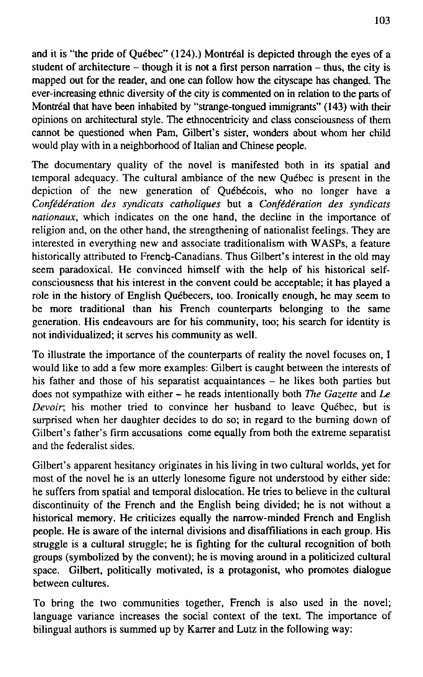and it is "the pride of Québec" (124).) Montréal is depicted through the eyes of a student of architecture  $-$  though it is not a first person narration  $-$  thus, the city is mapped out for the reader, and one can follow how the cityscape has changed. The ever-increasing ethnic diversity of the city is commented on in relation to the parts of Montréal that have been inhabited by "strange-tongued immigrants" (143) with their opinions on architectural style. The ethnocentricity and class consciousness of them cannot be questioned when Pam, Gilbert's sister, wonders about whom her child would play with in a neighborhood of Italian and Chinese people.

The documentary quality of the novel is manifested both in its spatial and temporal adequacy. The cultural ambiance of the new Québec is present in the depiction of the new generation of Québécois, who no longer have a *Confédération des syndicats catholiques* but a *Confédération des syndicats nationaux*, which indicates on the one hand, the decline in the importance of religion and, on the other hand, the strengthening of nationalist feelings. They are interested in everything new and associate traditionalism with WASPs, a feature historically attributed to French-Canadians. Thus Gilbert's interest in the old may seem paradoxical. He convinced himself with the help of his historical selfconsciousness that his interest in the convent could be acceptable; it has played a role in the history of English Québecers, too. Ironically enough, he may seem to be more traditional than his French counterparts belonging to the same generation. His endeavours are for his community, too; his search for identity is not individualized; it serveš his community as well.

To illustrate the importance of the counterparts of reality the novel focuses on, I would like to add a few more examples: Gilbert is caught between the interests of his father and those of his separatist acquaintances – he likes both parties but does not sympathize with either - he reads intentionally both *The Gazette* and *Le Devoir;* his mother tried to convince her husband to leave Québec, but is surprised when her daughter decides to do so; in regard to the buming down of Gilbert's father's firm accusations come equally from both the extreme separatist and the federalist sides.

Gilbert's apparent hesitancy originates in his living in two cultural worlds, yet for most of the novel he is an utterly lonesome figure not understood by either side: he suffers from spatial and temporal dislocation. He tries to believe in the cultural discontinuity of the French and the English being divided; he is not without a historical memory. He criticizes equally the narrow-minded French and English people. He is aware of the intemal divisions and disaffiliations in each group. His struggle is a cultural struggle; he is fighting for the cultural recognition of both groups (symbolized by the convent); he is moving around in a politicized cultural space. Gilbert, politically motivated, is a protagonist, who promotes dialogue between cultures.

To bring the two communities together, French is also used in the novel; language variance increases the social context of the text. The importance of bilingual authors is summed up by Karrer and Lutz in the following way: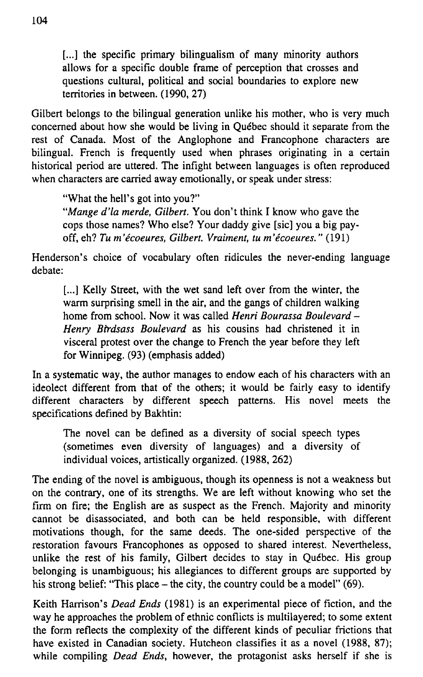[...] the specific primary bilingualism of many minority authors allows for a specific double frame of perception that crosses and questions cultural, political and social boundaries to explore new territories in between. (1990, 27)

Gilbert belongs to the bilingual generation unlike his mother, who is very much concerned about how she would be living in Québec should it separate from the rest of Canada. Most of the Anglophone and Francophone characters are bilingual. French is frequently used when phrases originating in a certain historical period are uttered. The infight between languages is often reproduced when characters are carried away emotionally, or speak under stress:

"What the hell's got into you?"

*"Mange ďla merde, Gilbert.* You don't think I know who gave the cops those names? Who else? Your daddy give [sic] you a big payoff, eh? *Tu m'écoeures, Gilbert. Vraiment, tu m'écoeures."* (191)

Henderson's choice of vocabulary often ridicules the never-ending language debatě:

[...] Kelly Street, with the wet sand left over from the winter, the warm surprising smell in the air, and the gangs of children walking home from school. Now it was called *Henri Bourassa Boulevard - Henry Birdsass Boulevard* as his cousins had christened it in visceral protest over the change to French the year before they left for Winnipeg. (93) (emphasis added)

In a systematic way, the author manages to endow each of his characters with an ideolect different from that of the others; it would be fairly easy to identify different characters by different speech patterns. His novel meets the specifications defined by Bakhtin:

The novel can be defined as a diversity of social speech types (sometimes even diversity of languages) and a diversity of individual voices, artistically organized. (1988, 262)

The ending of the novel is ambiguous, though its openness is not a weakness but on the contrary, one of its strengths. We are left without knowing who set the firm on fire; the English are as suspect as the French. Majority and minority cannot be disassociated, and both can be held responsible, with different motivations though, for the same deeds. The one-sided perspective of the restoration favours Francophones as opposed to shared interest. Nevertheless, unlike the rest of his family, Gilbert decides to stay in Québec. His group belonging is unambiguous; his allegiances to different groups are supported by his strong belief: "This place – the city, the country could be a model" (69).

Keith Harrison's *Dead Ends* (1981) is an experimental piece of fiction, and the way he approaches the problem of ethnic conflicts is multilayered; to some extent the form reflects the complexity of the different kinds of peculiar frictions that have existed in Canadian society. Hutcheon classifies it as a novel (1988, 87); while compiling *Dead Ends,* however, the protagonist asks herself if she is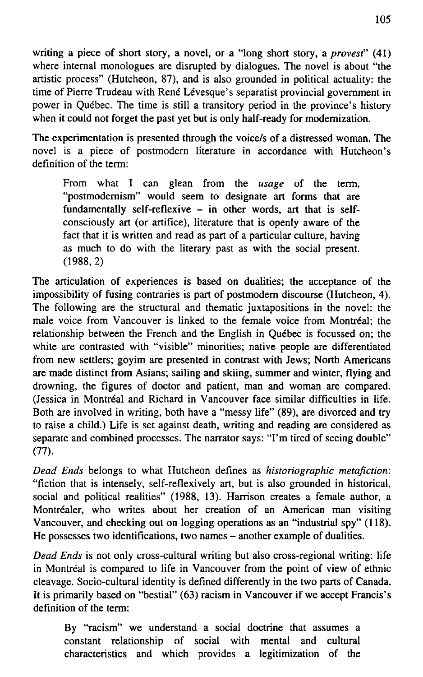writing a piece of short story, a novel, or a "long short story, a *provest*" (41) where internal monologues are disrupted by dialogues. The novel is about "the artistic process" (Hutcheon, 87), and is also grounded in political actuality: the time of Pierre Trudeau with René Lévesque's separatist provincial government in power in Québec. The time is still a transitory period in the province's history when it could not forget the past yet but is only half-ready for modemization.

The experimentation is presented through the voice/s of a distressed woman. The novel is a piece of postmodern literature in accordance with Hutcheon's definition of the term:

From what I can glean from the *usage* of the term, "postmodemism" would seem to designate art forms that are fundamentally self-reflexive  $-$  in other words, art that is selfconsciously art (or artifice), literature that is openly aware of the fact that it is written and read as part of a particular culture, having as much to do with the literary past as with the social present. (1988,2)

The articulation of experiences is based on dualities; the acceptance of the impossibility of fusing contraries is part of postmodern discourse (Hutcheon, 4). The following are the structural and thematic juxtapositions in the novel: the male voice from Vancouver is linked to the female voice from Montréal; the relationship between the French and the English in Québec is focussed on; the white are contrasted with "visible" minorities; native people are differentiated from new settlers; goyim are presented in contrast with Jews; North Americans are made distinct from Asians; sailing and skiing, summer and winter, flying and drowning, the figures of doctor and patient, man and woman are compared. (Jessica in Montréal and Richard in Vancouver face similar difficulties in life. Both are involved in writing, both have a "messy life" (89), are divorced and try to raise a child.) Life is set against death, writing and reading are considered as separate and combined processes. The narrator says: "I'm tired of seeing double" (77).

*Dead Ends* belongs to what Hutcheon defines as *historiographic metafiction:*  "fiction that is intensely, self-reflexively art, but is also grounded in historical, social and political realities" (1988, 13). Harrison creates a female author, a Montréaler, who writes about her creation of an American man visiting Vancouver, and checking out on logging operations as an "industrial spy" (118). He possesses two identifications, two names – another example of dualities.

*Dead Ends* is not only cross-cultural writing but also cross-regional writing: life in Montréal is compared to life in Vancouver from the point of view of ethnic cleavage. Socio-cultural identity is defined differently in the two parts of Canada. It is primarily based on "bestial" (63) racism in Vancouver if we accept Francis's definition of the term:

By "racism" we understand a social doctrine that assumes a constant relationship of sociál with mental and cultural characteristics and which provides a legitimization of the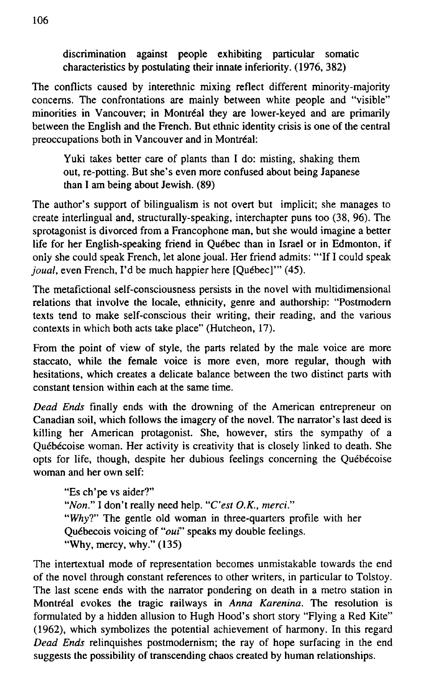discrimination against people exhibiting particular somatic characteristics by postulating their innate inferiority. (1976, 382)

The conflicts caused by interethnic mixing reflect different minority-majority concems. The confrontations are mainly between white people and "visible" minorities in Vancouver; in Montréal they are lower-keyed and are primarily between the English and the French. But ethnic identity crisis is one of the central preoccupations both in Vancouver and in Montréal:

Yuki takes better care of plants than I do: misting, shaking them out, re-potting. But she's even more confused about being Japanese than I am being about Jewish. (89)

The author's support of bilingualism is not overt but implicit; she manages to create interlingual and, structurally-speaking, interchapter puns too (38, 96). The sprotagonist is divorced from a Francophone man, but she would imagine a better life for her English-speaking friend in Québec than in Israel or in Edmonton, if only she could speak French, let alone joual. Her friend admits: "'If I could speak *joual,* even French, I'd be much happier here [Québec]'" (45).

The metafictional self-consciousness persists in the novel with multidimensional relations that involve the locale, ethnicity, genre and authorship: "Postmodem texts tend to make self-conscious their writing, their reading, and the various contexts in which both acts take place" (Hutcheon, 17).

From the point of view of style, the parts related by the male voice are more staccato, while the female voice is more even, more regular, though with hesitations, which creates a delicate balance between the two distinct parts with constant tension within each at the same time.

*Dead Ends* finally ends with the drowning of the American entrepreneur on Canadian soil, which foliows the imagery of the novel. The narrator's last deed is killing her American protagonist. She, however, stirs the sympathy of a Québécoise woman. Her activity is creativity that is closely linked to death. She opts for life, though, despite her dubious feelings concerning the Québécoise woman and her own self:

"Es ch'pe vs aider?" "*Non.*" I don't really need help. "C'est O.K., merci." "Why?" The gentle old woman in three-quarters profile with her Québecois voicing of "*oui*" speaks my double feelings. "Why, mercy, why." (135)

The intertextual mode of representation becomes unmistakable towards the end of the novel through constant references to other writers, in particular to Tolstoy. The last scene ends with the narrator pondering on death in a metro station in Montreal evokes the tragic railways in *Anna Karenina.* The resolution is formulated by a hidden allusion to Hugh Hood's short story "Flying a Red Kite" (1962), which symbolizes the potential achievement of harmony. In this regard *Dead Ends* relinquishes postmodernism; the ray of hope surfacing in the end suggests the possibility of transcending chaos created by human relationships.